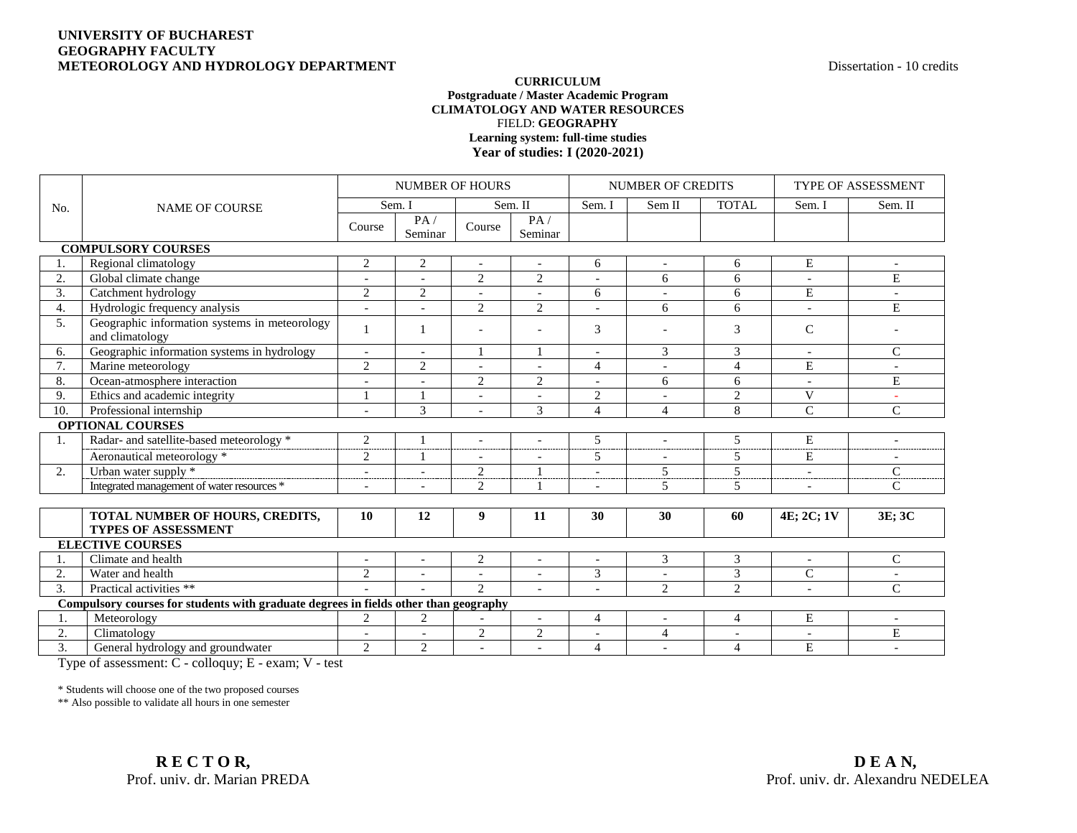## **UNIVERSITY OF BUCHAREST GEOGRAPHY FACULTY METEOROLOGY AND HYDROLOGY DEPARTMENT Dispersed and ACCOLOGY AND HYDROLOGY DEPARTMENT**

## **CURRICULUM Postgraduate / Master Academic Program CLIMATOLOGY AND WATER RESOURCES** FIELD: **GEOGRAPHY Learning system: full-time studies Year of studies: I (2020-2021)**

|                                                                                      | <b>NAME OF COURSE</b>                                            | <b>NUMBER OF HOURS</b>   |                          |                          |                | <b>NUMBER OF CREDITS</b> |                          |                          | TYPE OF ASSESSMENT       |                |  |
|--------------------------------------------------------------------------------------|------------------------------------------------------------------|--------------------------|--------------------------|--------------------------|----------------|--------------------------|--------------------------|--------------------------|--------------------------|----------------|--|
| No.                                                                                  |                                                                  | Sem. I                   |                          | Sem. II                  |                | Sem. I                   | Sem II                   | <b>TOTAL</b>             | Sem. I                   | Sem. II        |  |
|                                                                                      |                                                                  | Course                   | PA/<br>Seminar           | Course                   | PA/<br>Seminar |                          |                          |                          |                          |                |  |
| <b>COMPULSORY COURSES</b>                                                            |                                                                  |                          |                          |                          |                |                          |                          |                          |                          |                |  |
|                                                                                      | Regional climatology                                             | $\overline{2}$           | 2                        | $\sim$                   | $\overline{a}$ | 6                        |                          | 6                        | E                        |                |  |
| 2.                                                                                   | Global climate change                                            |                          |                          | $\sqrt{2}$               | $\mathbf{2}$   |                          | 6                        | 6                        |                          | E              |  |
| $\overline{3}$ .                                                                     | Catchment hydrology                                              | $\overline{2}$           | 2                        | $\sim$                   | $\bar{a}$      | 6                        | $\overline{\phantom{a}}$ | 6                        | E                        | $\blacksquare$ |  |
| 4.                                                                                   | Hydrologic frequency analysis                                    | $\blacksquare$           |                          | 2                        | $\overline{2}$ | $\overline{a}$           | 6                        | 6                        | $\bar{a}$                | E              |  |
| 5.                                                                                   | Geographic information systems in meteorology<br>and climatology |                          |                          |                          | ٠              | 3                        |                          | 3                        | $\mathcal{C}$            |                |  |
| 6.                                                                                   | Geographic information systems in hydrology                      | $\overline{\phantom{a}}$ | $\overline{\phantom{a}}$ | 1                        |                | $\overline{a}$           | 3                        | 3                        | $\overline{\phantom{a}}$ | $\mathcal{C}$  |  |
| 7.                                                                                   | Marine meteorology                                               | $\overline{2}$           | $\overline{2}$           | $\overline{\phantom{a}}$ | $\overline{a}$ | 4                        | $\overline{\phantom{a}}$ | $\overline{4}$           | E                        |                |  |
| 8.                                                                                   | Ocean-atmosphere interaction                                     |                          |                          | $\overline{c}$           | 2              |                          | 6                        | 6                        |                          | E              |  |
| 9.                                                                                   | Ethics and academic integrity                                    |                          |                          | $\overline{\phantom{a}}$ | $\sim$         | $\overline{2}$           | $\overline{\phantom{a}}$ | 2                        | V                        | $\sim$         |  |
| 10.                                                                                  | Professional internship                                          |                          | 3                        |                          | 3              | $\overline{4}$           | $\overline{4}$           | 8                        | $\mathcal{C}$            | $\mathcal{C}$  |  |
|                                                                                      | <b>OPTIONAL COURSES</b>                                          |                          |                          |                          |                |                          |                          |                          |                          |                |  |
| 1.                                                                                   | Radar- and satellite-based meteorology *                         | 2                        |                          | $\overline{\phantom{a}}$ |                | 5                        | $\overline{a}$           | 5                        | E                        |                |  |
|                                                                                      | Aeronautical meteorology *                                       | $\overline{2}$           |                          | $\overline{\phantom{a}}$ | $\overline{a}$ | 5                        | $\blacksquare$           | 5                        | E                        |                |  |
| 2.                                                                                   | Urban water supply *                                             |                          |                          | $\overline{c}$           |                |                          | 5                        | $\overline{5}$           |                          | $\overline{C}$ |  |
|                                                                                      | Integrated management of water resources *                       | $\overline{a}$           |                          | $\overline{c}$           |                | $\overline{a}$           | 5                        | 5                        | $\overline{\phantom{a}}$ | $\mathsf{C}$   |  |
|                                                                                      |                                                                  |                          |                          |                          |                |                          |                          |                          |                          |                |  |
|                                                                                      | TOTAL NUMBER OF HOURS, CREDITS,<br><b>TYPES OF ASSESSMENT</b>    | 10                       | 12                       | 9                        | 11             | 30                       | 30                       | 60                       | 4E; 2C; 1V               | 3E; 3C         |  |
| <b>ELECTIVE COURSES</b>                                                              |                                                                  |                          |                          |                          |                |                          |                          |                          |                          |                |  |
| 1.                                                                                   | Climate and health                                               |                          | $\overline{\phantom{a}}$ | $\overline{2}$           | $\bar{a}$      |                          | 3                        | 3                        | $\overline{\phantom{a}}$ | $\mathsf{C}$   |  |
| 2.                                                                                   | Water and health                                                 | $\overline{2}$           | $\overline{\phantom{a}}$ |                          | $\sim$         | $\overline{3}$           |                          | $\overline{3}$           | $\overline{C}$           |                |  |
| $\overline{3}$ .                                                                     | Practical activities **                                          |                          |                          | $\mathfrak{D}$           | $\sim$         | $\overline{\phantom{a}}$ | 2                        | 2                        | $\overline{\phantom{a}}$ | $\mathsf{C}$   |  |
| Compulsory courses for students with graduate degrees in fields other than geography |                                                                  |                          |                          |                          |                |                          |                          |                          |                          |                |  |
|                                                                                      | Meteorology                                                      | $\overline{2}$           | $\overline{2}$           |                          | $\overline{a}$ | $\overline{4}$           | $\overline{a}$           | $\overline{4}$           | E                        |                |  |
| 2.                                                                                   | Climatology                                                      |                          |                          | $\mathbf{2}$             | $\mathbf{2}$   | $\overline{a}$           | $\overline{4}$           | $\overline{\phantom{a}}$ | $\overline{\phantom{a}}$ | E              |  |
| 3.                                                                                   | General hydrology and groundwater                                | $\overline{2}$           | $\overline{2}$           | $\overline{a}$           | $\overline{a}$ | 4                        | $\overline{a}$           | $\overline{4}$           | $\overline{E}$           |                |  |

Type of assessment: C - colloquy; E - exam; V - test

\* Students will choose one of the two proposed courses

\*\* Also possible to validate all hours in one semester